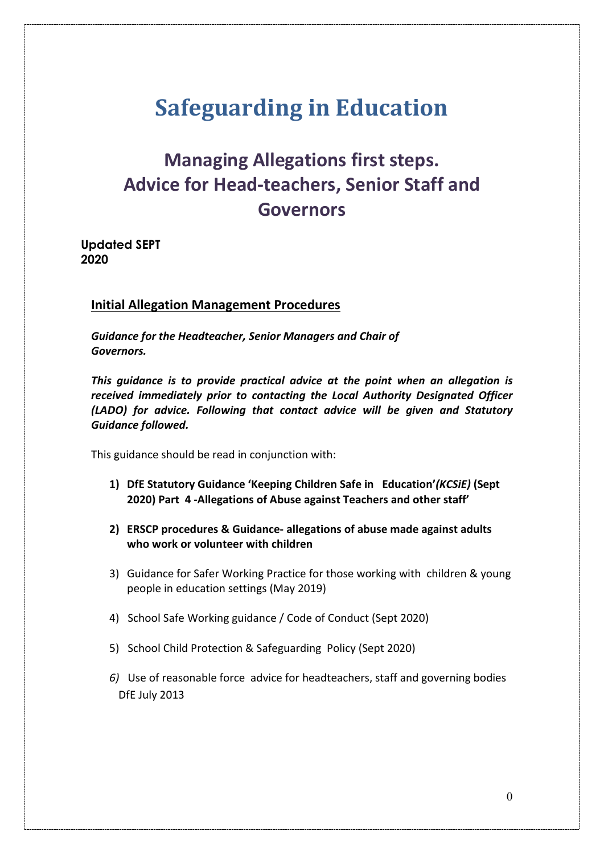# **Safeguarding in Education**

## **Managing Allegations first steps. Advice for Head-teachers, Senior Staff and Governors**

**Updated SEPT 2020**

### **Initial Allegation Management Procedures**

*Guidance for the Headteacher, Senior Managers and Chair of Governors.*

*This guidance is to provide practical advice at the point when an allegation is received immediately prior to contacting the Local Authority Designated Officer (LADO) for advice. Following that contact advice will be given and Statutory Guidance followed.* 

This guidance should be read in conjunction with:

- **1) DfE Statutory Guidance 'Keeping Children Safe in Education'***(KCSiE)* **(Sept 2020) Part 4 -Allegations of Abuse against Teachers and other staff'**
- **2) ERSCP procedures & Guidance- allegations of abuse made against adults who work or volunteer with children**
- 3) Guidance for Safer Working Practice for those working with children & young people in education settings (May 2019)
- 4) School Safe Working guidance / Code of Conduct (Sept 2020)
- 5) School Child Protection & Safeguarding Policy (Sept 2020)
- *6)* Use of reasonable force advice for headteachers, staff and governing bodies DfE July 2013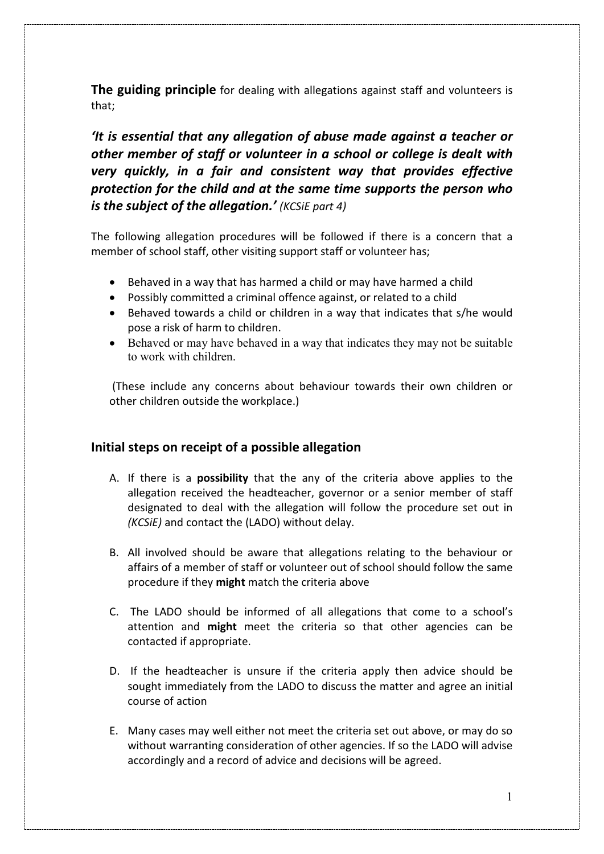**The guiding principle** for dealing with allegations against staff and volunteers is that;

*'It is essential that any allegation of abuse made against a teacher or other member of staff or volunteer in a school or college is dealt with very quickly, in a fair and consistent way that provides effective protection for the child and at the same time supports the person who is the subject of the allegation.' (KCSiE part 4)*

The following allegation procedures will be followed if there is a concern that a member of school staff, other visiting support staff or volunteer has;

- Behaved in a way that has harmed a child or may have harmed a child
- Possibly committed a criminal offence against, or related to a child
- Behaved towards a child or children in a way that indicates that s/he would pose a risk of harm to children.
- Behaved or may have behaved in a way that indicates they may not be suitable to work with children.

(These include any concerns about behaviour towards their own children or other children outside the workplace.)

#### **Initial steps on receipt of a possible allegation**

- A. If there is a **possibility** that the any of the criteria above applies to the allegation received the headteacher, governor or a senior member of staff designated to deal with the allegation will follow the procedure set out in *(KCSiE)* and contact the (LADO) without delay.
- B. All involved should be aware that allegations relating to the behaviour or affairs of a member of staff or volunteer out of school should follow the same procedure if they **might** match the criteria above
- C. The LADO should be informed of all allegations that come to a school's attention and **might** meet the criteria so that other agencies can be contacted if appropriate.
- D. If the headteacher is unsure if the criteria apply then advice should be sought immediately from the LADO to discuss the matter and agree an initial course of action
- E. Many cases may well either not meet the criteria set out above, or may do so without warranting consideration of other agencies. If so the LADO will advise accordingly and a record of advice and decisions will be agreed.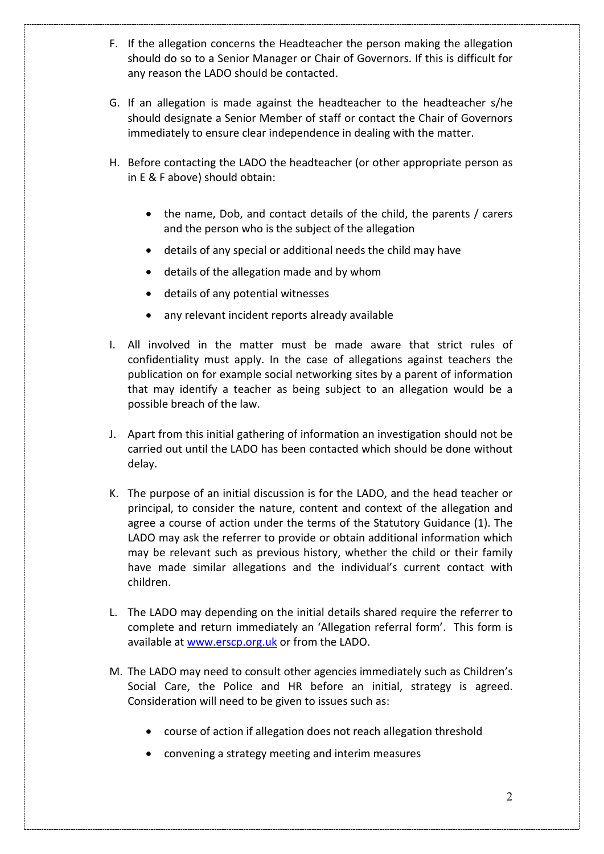- F. If the allegation concerns the Headteacher the person making the allegation should do so to a Senior Manager or Chair of Governors. If this is difficult for any reason the LADO should be contacted.
- G. If an allegation is made against the headteacher to the headteacher s/he should designate a Senior Member of staff or contact the Chair of Governors immediately to ensure clear independence in dealing with the matter.
- H. Before contacting the LADO the headteacher (or other appropriate person as in E & F above) should obtain:
	- the name, Dob, and contact details of the child, the parents / carers and the person who is the subject of the allegation
	- details of any special or additional needs the child may have
	- details of the allegation made and by whom
	- details of any potential witnesses
	- any relevant incident reports already available
- I. All involved in the matter must be made aware that strict rules of confidentiality must apply. In the case of allegations against teachers the publication on for example social networking sites by a parent of information that may identify a teacher as being subject to an allegation would be a possible breach of the law.
- J. Apart from this initial gathering of information an investigation should not be carried out until the LADO has been contacted which should be done without delay.
- K. The purpose of an initial discussion is for the LADO, and the head teacher or principal, to consider the nature, content and context of the allegation and agree a course of action under the terms of the Statutory Guidance (1). The LADO may ask the referrer to provide or obtain additional information which may be relevant such as previous history, whether the child or their family have made similar allegations and the individual's current contact with children.
- L. The LADO may depending on the initial details shared require the referrer to complete and return immediately an 'Allegation referral form'. This form is available at [www.erscp.org.uk](http://www.erscp.org.uk/) or from the LADO.
- M. The LADO may need to consult other agencies immediately such as Children's Social Care, the Police and HR before an initial, strategy is agreed. Consideration will need to be given to issues such as:
	- course of action if allegation does not reach allegation threshold
	- convening a strategy meeting and interim measures